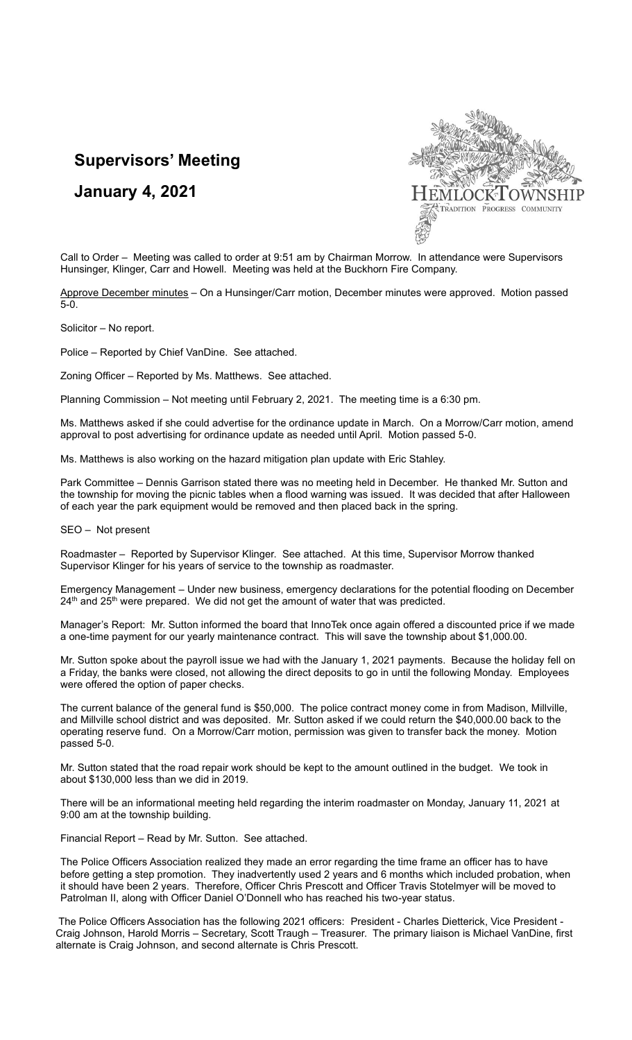# **Supervisors' Meeting**

## **January 4, 2021**



Call to Order – Meeting was called to order at 9:51 am by Chairman Morrow. In attendance were Supervisors Hunsinger, Klinger, Carr and Howell. Meeting was held at the Buckhorn Fire Company.

Approve December minutes - On a Hunsinger/Carr motion, December minutes were approved. Motion passed 5-0.

Solicitor – No report.

Police – Reported by Chief VanDine. See attached.

Zoning Officer – Reported by Ms. Matthews. See attached.

Planning Commission – Not meeting until February 2, 2021. The meeting time is a 6:30 pm.

Ms. Matthews asked if she could advertise for the ordinance update in March. On a Morrow/Carr motion, amend approval to post advertising for ordinance update as needed until April. Motion passed 5-0.

Ms. Matthews is also working on the hazard mitigation plan update with Eric Stahley.

Park Committee – Dennis Garrison stated there was no meeting held in December. He thanked Mr. Sutton and the township for moving the picnic tables when a flood warning was issued. It was decided that after Halloween of each year the park equipment would be removed and then placed back in the spring.

SEO – Not present

Roadmaster – Reported by Supervisor Klinger. See attached. At this time, Supervisor Morrow thanked Supervisor Klinger for his years of service to the township as roadmaster.

Emergency Management – Under new business, emergency declarations for the potential flooding on December 24<sup>th</sup> and 25<sup>th</sup> were prepared. We did not get the amount of water that was predicted.

Manager's Report: Mr. Sutton informed the board that InnoTek once again offered a discounted price if we made a one-time payment for our yearly maintenance contract. This will save the township about \$1,000.00.

Mr. Sutton spoke about the payroll issue we had with the January 1, 2021 payments. Because the holiday fell on a Friday, the banks were closed, not allowing the direct deposits to go in until the following Monday. Employees were offered the option of paper checks.

The current balance of the general fund is \$50,000. The police contract money come in from Madison, Millville, and Millville school district and was deposited. Mr. Sutton asked if we could return the \$40,000.00 back to the operating reserve fund. On a Morrow/Carr motion, permission was given to transfer back the money. Motion passed 5-0.

Mr. Sutton stated that the road repair work should be kept to the amount outlined in the budget. We took in about \$130,000 less than we did in 2019.

There will be an informational meeting held regarding the interim roadmaster on Monday, January 11, 2021 at 9:00 am at the township building.

Financial Report – Read by Mr. Sutton. See attached.

The Police Officers Association realized they made an error regarding the time frame an officer has to have before getting a step promotion. They inadvertently used 2 years and 6 months which included probation, when it should have been 2 years. Therefore, Officer Chris Prescott and Officer Travis Stotelmyer will be moved to Patrolman II, along with Officer Daniel O'Donnell who has reached his two-year status.

The Police Officers Association has the following 2021 officers: President - Charles Dietterick, Vice President - Craig Johnson, Harold Morris – Secretary, Scott Traugh – Treasurer. The primary liaison is Michael VanDine, first alternate is Craig Johnson, and second alternate is Chris Prescott.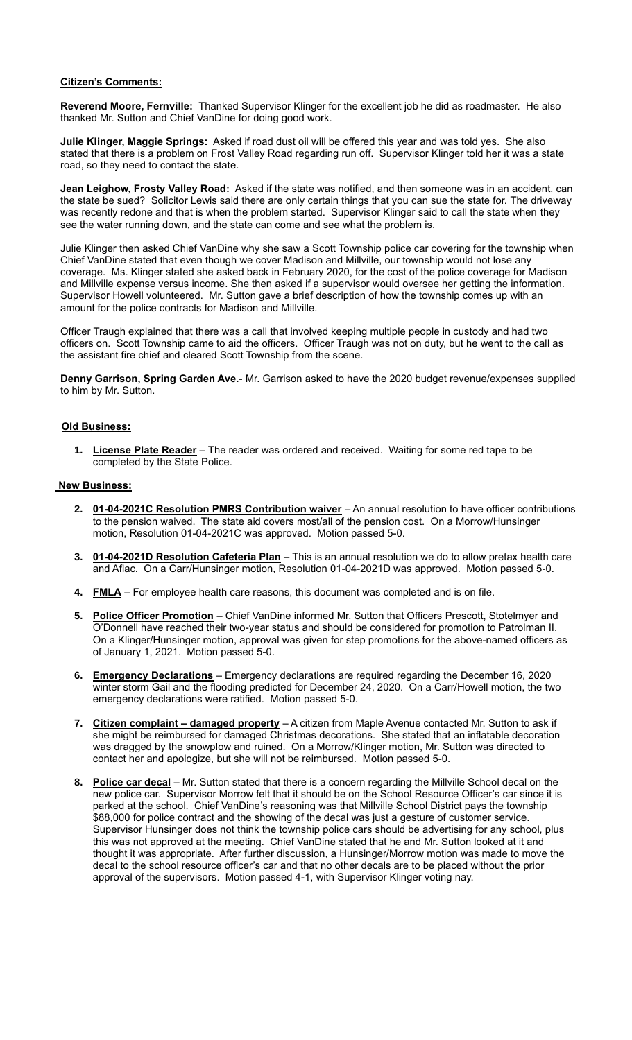#### **Citizen's Comments:**

**Reverend Moore, Fernville:** Thanked Supervisor Klinger for the excellent job he did as roadmaster. He also thanked Mr. Sutton and Chief VanDine for doing good work.

**Julie Klinger, Maggie Springs:** Asked if road dust oil will be offered this year and was told yes. She also stated that there is a problem on Frost Valley Road regarding run off. Supervisor Klinger told her it was a state road, so they need to contact the state.

**Jean Leighow, Frosty Valley Road:** Asked if the state was notified, and then someone was in an accident, can the state be sued? Solicitor Lewis said there are only certain things that you can sue the state for. The driveway was recently redone and that is when the problem started. Supervisor Klinger said to call the state when they see the water running down, and the state can come and see what the problem is.

Julie Klinger then asked Chief VanDine why she saw a Scott Township police car covering for the township when Chief VanDine stated that even though we cover Madison and Millville, our township would not lose any coverage. Ms. Klinger stated she asked back in February 2020, for the cost of the police coverage for Madison and Millville expense versus income. She then asked if a supervisor would oversee her getting the information. Supervisor Howell volunteered. Mr. Sutton gave a brief description of how the township comes up with an amount for the police contracts for Madison and Millville.

Officer Traugh explained that there was a call that involved keeping multiple people in custody and had two officers on. Scott Township came to aid the officers. Officer Traugh was not on duty, but he went to the call as the assistant fire chief and cleared Scott Township from the scene.

**Denny Garrison, Spring Garden Ave.**- Mr. Garrison asked to have the 2020 budget revenue/expenses supplied to him by Mr. Sutton.

### **Old Business:**

**1. License Plate Reader** – The reader was ordered and received. Waiting for some red tape to be completed by the State Police.

#### **New Business:**

- **2. 01-04-2021C Resolution PMRS Contribution waiver** An annual resolution to have officer contributions to the pension waived. The state aid covers most/all of the pension cost. On a Morrow/Hunsinger motion, Resolution 01-04-2021C was approved. Motion passed 5-0.
- **3. 01-04-2021D Resolution Cafeteria Plan** This is an annual resolution we do to allow pretax health care and Aflac. On a Carr/Hunsinger motion, Resolution 01-04-2021D was approved. Motion passed 5-0.
- **4. FMLA** For employee health care reasons, this document was completed and is on file.
- **5. Police Officer Promotion** Chief VanDine informed Mr. Sutton that Officers Prescott, Stotelmyer and O'Donnell have reached their two-year status and should be considered for promotion to Patrolman II. On a Klinger/Hunsinger motion, approval was given for step promotions for the above-named officers as of January 1, 2021. Motion passed 5-0.
- **6. Emergency Declarations** Emergency declarations are required regarding the December 16, 2020 winter storm Gail and the flooding predicted for December 24, 2020. On a Carr/Howell motion, the two emergency declarations were ratified. Motion passed 5-0.
- **7. Citizen complaint – damaged property** A citizen from Maple Avenue contacted Mr. Sutton to ask if she might be reimbursed for damaged Christmas decorations. She stated that an inflatable decoration was dragged by the snowplow and ruined. On a Morrow/Klinger motion, Mr. Sutton was directed to contact her and apologize, but she will not be reimbursed. Motion passed 5-0.
- **8. Police car decal** Mr. Sutton stated that there is a concern regarding the Millville School decal on the new police car. Supervisor Morrow felt that it should be on the School Resource Officer's car since it is parked at the school. Chief VanDine's reasoning was that Millville School District pays the township \$88,000 for police contract and the showing of the decal was just a gesture of customer service. Supervisor Hunsinger does not think the township police cars should be advertising for any school, plus this was not approved at the meeting. Chief VanDine stated that he and Mr. Sutton looked at it and thought it was appropriate. After further discussion, a Hunsinger/Morrow motion was made to move the decal to the school resource officer's car and that no other decals are to be placed without the prior approval of the supervisors. Motion passed 4-1, with Supervisor Klinger voting nay.